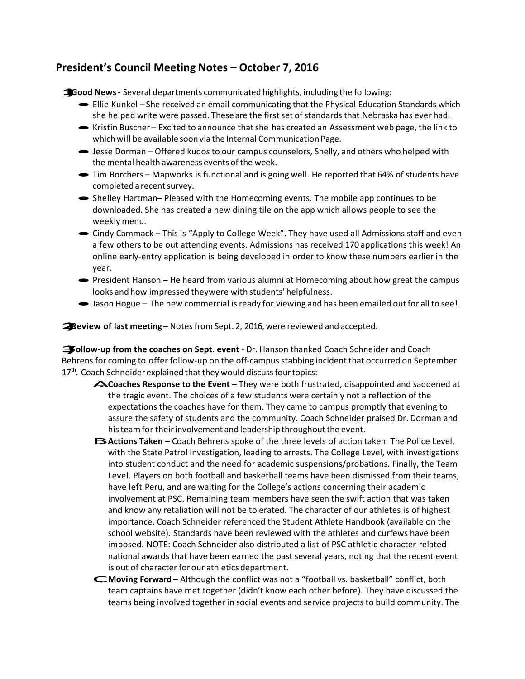## **President's Council Meeting Notes – October 7, 2016**

**1)Good News-** Several departments communicated highlights, including the following:

- · Ellie Kunkel She received an email communicating that the Physical Education Standards which she helped write were passed. These are the first set of standards that Nebraska has ever had.
- ·Kristin Buscher Excited to announce thatshe has created an Assessment web page, the link to which will be available soon via the Internal Communication Page.
- ·Jesse Dorman Offered kudos to our campus counselors, Shelly, and others who helped with the mental health awareness events ofthe week.
- · Tim Borchers Mapworks is functional and is going well. He reported that 64% of students have completed a recent survey.
- Shelley Hartman– Pleased with the Homecoming events. The mobile app continues to be downloaded. She has created a new dining tile on the app which allows people to see the weekly menu.
- ·Cindy Cammack This is "Apply to College Week". They have used all Admissions staff and even a few others to be out attending events. Admissions has received 170 applications this week! An online early-entry application is being developed in order to know these numbers earlier in the year.
- · President Hanson He heard from various alumni at Homecoming about how great the campus looks and how impressed theywere with students' helpfulness.
- Jason Hogue The new commercial is ready for viewing and has been emailed out for all to see!

**2)Review of last meeting –** Notesfrom Sept. 2, 2016, were reviewed and accepted.

**3) Follow-up from the coaches on Sept. event** - Dr. Hanson thanked Coach Schneider and Coach Behrens for coming to offer follow-up on the off-campus stabbing incident that occurred on September 17<sup>th</sup>. Coach Schneider explained that they would discuss four topics:

- A. **Coaches Response to the Event**  They were both frustrated, disappointed and saddened at the tragic event. The choices of a few students were certainly not a reflection of the expectations the coaches have for them. They came to campus promptly that evening to assure the safety of students and the community. Coach Schneider praised Dr. Dorman and his team for their involvement and leadership throughout the event.
- **EXActions Taken** Coach Behrens spoke of the three levels of action taken. The Police Level, with the State Patrol Investigation, leading to arrests. The College Level, with investigations into student conduct and the need for academic suspensions/probations. Finally, the Team Level. Players on both football and basketball teams have been dismissed from their teams, have left Peru, and are waiting for the College's actions concerning their academic involvement at PSC. Remaining team members have seen the swift action that was taken and know any retaliation will not be tolerated. The character of our athletes is of highest importance. Coach Schneider referenced the Student Athlete Handbook (available on the school website). Standards have been reviewed with the athletes and curfews have been imposed. NOTE: Coach Schneider also distributed a list of PSC athletic character-related national awards that have been earned the past several years, noting that the recent event is out of character forour athletics department.
- C. **Moving Forward**  Although the conflict was not a "football vs. basketball" conflict, both team captains have met together (didn't know each other before). They have discussed the teams being involved together in social events and service projects to build community. The